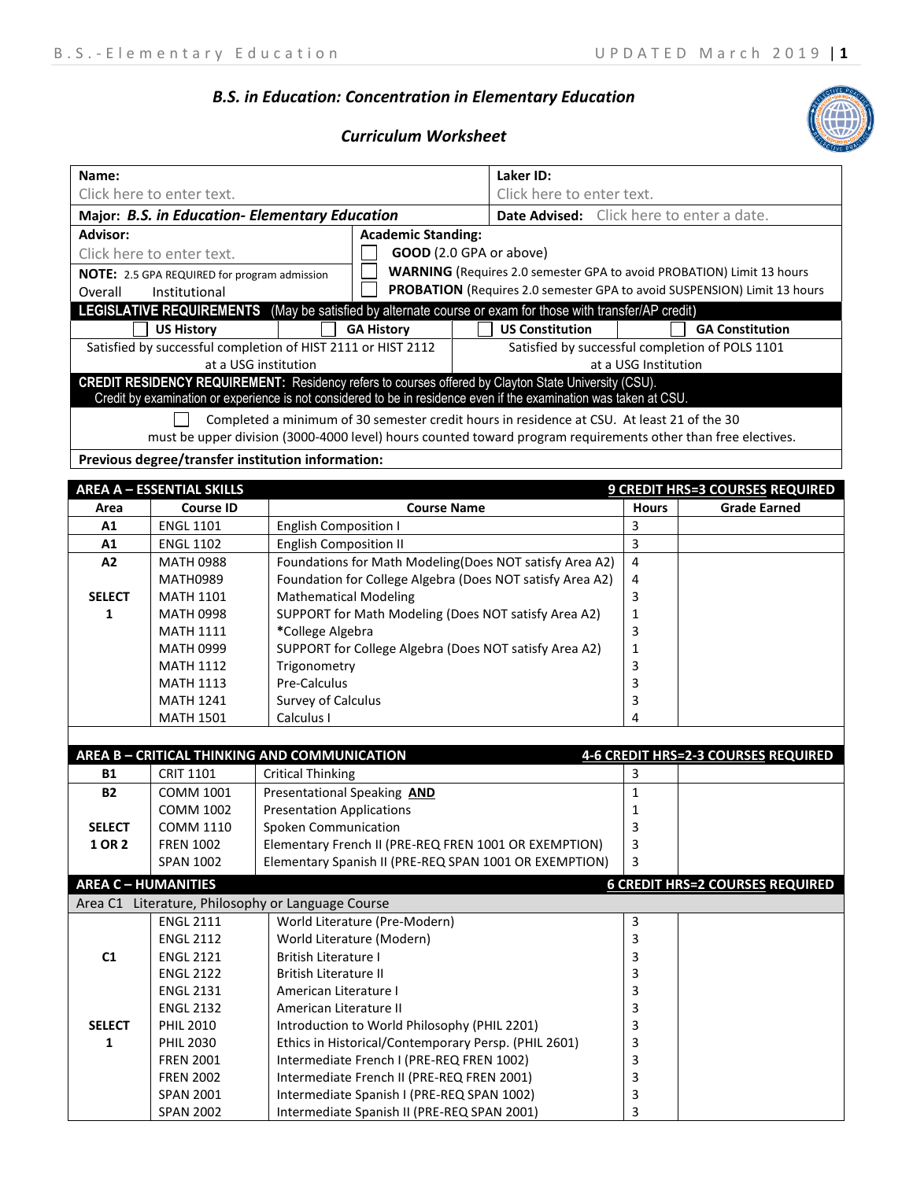## *B.S. in Education: Concentration in Elementary Education*

## *Curriculum Worksheet*

| Name:                                          |                                                              |                                    |                                                             | Laker ID:                                                                                                          |                           |                                                 |  |
|------------------------------------------------|--------------------------------------------------------------|------------------------------------|-------------------------------------------------------------|--------------------------------------------------------------------------------------------------------------------|---------------------------|-------------------------------------------------|--|
|                                                | Click here to enter text.                                    |                                    |                                                             |                                                                                                                    | Click here to enter text. |                                                 |  |
| Major: B.S. in Education- Elementary Education |                                                              |                                    |                                                             | <b>Date Advised:</b> Click here to enter a date.                                                                   |                           |                                                 |  |
| Advisor:                                       | <b>Academic Standing:</b>                                    |                                    |                                                             |                                                                                                                    |                           |                                                 |  |
|                                                | Click here to enter text.                                    |                                    |                                                             | GOOD (2.0 GPA or above)                                                                                            |                           |                                                 |  |
|                                                | NOTE: 2.5 GPA REQUIRED for program admission                 |                                    |                                                             | <b>WARNING</b> (Requires 2.0 semester GPA to avoid PROBATION) Limit 13 hours                                       |                           |                                                 |  |
| Overall                                        | Institutional                                                |                                    |                                                             | PROBATION (Requires 2.0 semester GPA to avoid SUSPENSION) Limit 13 hours                                           |                           |                                                 |  |
|                                                |                                                              |                                    |                                                             | LEGISLATIVE REQUIREMENTS (May be satisfied by alternate course or exam for those with transfer/AP credit)          |                           |                                                 |  |
|                                                | <b>US History</b>                                            |                                    | <b>GA History</b>                                           | <b>US Constitution</b>                                                                                             |                           | <b>GA Constitution</b>                          |  |
|                                                | Satisfied by successful completion of HIST 2111 or HIST 2112 |                                    |                                                             |                                                                                                                    |                           | Satisfied by successful completion of POLS 1101 |  |
|                                                |                                                              | at a USG institution               |                                                             |                                                                                                                    | at a USG Institution      |                                                 |  |
|                                                |                                                              |                                    |                                                             | CREDIT RESIDENCY REQUIREMENT: Residency refers to courses offered by Clayton State University (CSU).               |                           |                                                 |  |
|                                                |                                                              |                                    |                                                             | Credit by examination or experience is not considered to be in residence even if the examination was taken at CSU. |                           |                                                 |  |
|                                                |                                                              |                                    |                                                             | Completed a minimum of 30 semester credit hours in residence at CSU. At least 21 of the 30                         |                           |                                                 |  |
|                                                |                                                              |                                    |                                                             | must be upper division (3000-4000 level) hours counted toward program requirements other than free electives.      |                           |                                                 |  |
|                                                | Previous degree/transfer institution information:            |                                    |                                                             |                                                                                                                    |                           |                                                 |  |
|                                                |                                                              |                                    |                                                             |                                                                                                                    |                           |                                                 |  |
|                                                | <b>AREA A - ESSENTIAL SKILLS</b>                             |                                    |                                                             |                                                                                                                    |                           | 9 CREDIT HRS=3 COURSES REQUIRED                 |  |
| Area                                           | <b>Course ID</b>                                             |                                    | <b>Course Name</b>                                          |                                                                                                                    | <b>Hours</b>              | <b>Grade Earned</b>                             |  |
| A1                                             | <b>ENGL 1101</b>                                             | <b>English Composition I</b>       |                                                             |                                                                                                                    | 3                         |                                                 |  |
| Α1                                             | <b>ENGL 1102</b>                                             | <b>English Composition II</b>      |                                                             |                                                                                                                    | 3                         |                                                 |  |
| A2                                             | <b>MATH 0988</b>                                             |                                    |                                                             | Foundations for Math Modeling(Does NOT satisfy Area A2)                                                            | 4                         |                                                 |  |
|                                                | <b>MATH0989</b>                                              |                                    |                                                             | Foundation for College Algebra (Does NOT satisfy Area A2)                                                          | 4                         |                                                 |  |
| <b>SELECT</b>                                  | <b>MATH 1101</b>                                             | <b>Mathematical Modeling</b>       |                                                             |                                                                                                                    | 3                         |                                                 |  |
| 1                                              | <b>MATH 0998</b>                                             |                                    |                                                             | SUPPORT for Math Modeling (Does NOT satisfy Area A2)                                                               | 1                         |                                                 |  |
|                                                | <b>MATH 1111</b>                                             |                                    | 3<br>*College Algebra                                       |                                                                                                                    |                           |                                                 |  |
|                                                | <b>MATH 0999</b>                                             |                                    | SUPPORT for College Algebra (Does NOT satisfy Area A2)<br>1 |                                                                                                                    |                           |                                                 |  |
|                                                | <b>MATH 1112</b>                                             |                                    | Trigonometry<br>3                                           |                                                                                                                    |                           |                                                 |  |
|                                                | <b>MATH 1113</b>                                             | Pre-Calculus                       |                                                             | 3                                                                                                                  |                           |                                                 |  |
|                                                | <b>MATH 1241</b>                                             | Survey of Calculus                 |                                                             | 3                                                                                                                  |                           |                                                 |  |
|                                                | <b>MATH 1501</b>                                             | Calculus I                         | 4                                                           |                                                                                                                    |                           |                                                 |  |
|                                                |                                                              |                                    |                                                             |                                                                                                                    |                           |                                                 |  |
|                                                | AREA B - CRITICAL THINKING AND COMMUNICATION                 |                                    |                                                             |                                                                                                                    |                           | 4-6 CREDIT HRS=2-3 COURSES REQUIRED             |  |
| B1                                             | <b>CRIT 1101</b>                                             | <b>Critical Thinking</b>           |                                                             |                                                                                                                    | 3                         |                                                 |  |
| <b>B2</b>                                      | <b>COMM 1001</b>                                             | Presentational Speaking AND        |                                                             |                                                                                                                    | 1                         |                                                 |  |
|                                                | <b>COMM 1002</b>                                             | <b>Presentation Applications</b>   |                                                             |                                                                                                                    | 1                         |                                                 |  |
| <b>SELECT</b>                                  | <b>COMM 1110</b>                                             | <b>Spoken Communication</b>        |                                                             |                                                                                                                    | 3                         |                                                 |  |
| 1 OR 2                                         | <b>FREN 1002</b>                                             |                                    | Elementary French II (PRE-REQ FREN 1001 OR EXEMPTION)<br>3  |                                                                                                                    |                           |                                                 |  |
|                                                | <b>SPAN 1002</b>                                             |                                    | 3<br>Elementary Spanish II (PRE-REQ SPAN 1001 OR EXEMPTION) |                                                                                                                    |                           |                                                 |  |
| <b>AREA C - HUMANITIES</b>                     |                                                              |                                    |                                                             |                                                                                                                    |                           | <b>6 CREDIT HRS=2 COURSES REQUIRED</b>          |  |
|                                                | Area C1 Literature, Philosophy or Language Course            |                                    |                                                             |                                                                                                                    |                           |                                                 |  |
|                                                | <b>ENGL 2111</b>                                             | World Literature (Pre-Modern)<br>3 |                                                             |                                                                                                                    |                           |                                                 |  |
|                                                | <b>ENGL 2112</b>                                             |                                    |                                                             |                                                                                                                    | 3                         |                                                 |  |
| C1                                             | <b>ENGL 2121</b>                                             |                                    | World Literature (Modern)<br>3<br>British Literature I      |                                                                                                                    |                           |                                                 |  |
|                                                | <b>ENGL 2122</b>                                             | <b>British Literature II</b>       | 3<br>3                                                      |                                                                                                                    |                           |                                                 |  |
|                                                | <b>ENGL 2131</b>                                             | American Literature I              |                                                             |                                                                                                                    |                           |                                                 |  |
|                                                | <b>ENGL 2132</b>                                             | 3<br>American Literature II        |                                                             |                                                                                                                    |                           |                                                 |  |
| <b>SELECT</b>                                  | <b>PHIL 2010</b>                                             |                                    | Introduction to World Philosophy (PHIL 2201)                |                                                                                                                    | 3                         |                                                 |  |
| 1                                              | <b>PHIL 2030</b>                                             |                                    |                                                             | Ethics in Historical/Contemporary Persp. (PHIL 2601)                                                               | 3                         |                                                 |  |
|                                                | <b>FREN 2001</b>                                             |                                    | Intermediate French I (PRE-REQ FREN 1002)                   |                                                                                                                    | 3                         |                                                 |  |
|                                                | <b>FREN 2002</b>                                             |                                    | Intermediate French II (PRE-REQ FREN 2001)                  |                                                                                                                    | 3                         |                                                 |  |
|                                                | <b>SPAN 2001</b>                                             |                                    | Intermediate Spanish I (PRE-REQ SPAN 1002)                  |                                                                                                                    | 3                         |                                                 |  |
|                                                | <b>SPAN 2002</b>                                             |                                    | 3<br>Intermediate Spanish II (PRE-REQ SPAN 2001)            |                                                                                                                    |                           |                                                 |  |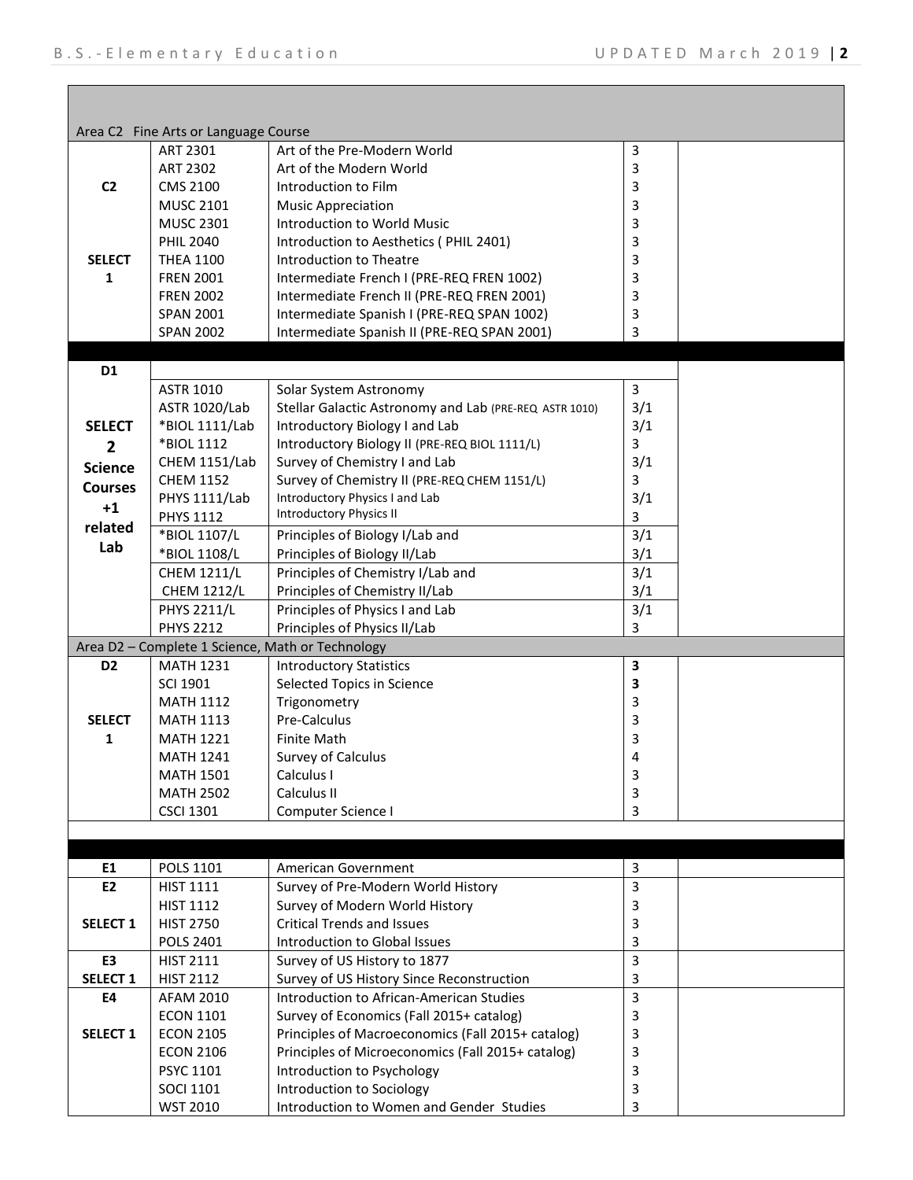|                     | Area C2 Fine Arts or Language Course              |                                                        |                |
|---------------------|---------------------------------------------------|--------------------------------------------------------|----------------|
|                     | ART 2301                                          | Art of the Pre-Modern World                            | 3              |
|                     | ART 2302                                          | Art of the Modern World                                | 3              |
| C <sub>2</sub>      | <b>CMS 2100</b>                                   | Introduction to Film                                   | 3              |
|                     | <b>MUSC 2101</b>                                  | <b>Music Appreciation</b>                              | 3              |
|                     | <b>MUSC 2301</b>                                  | Introduction to World Music                            | 3              |
|                     | <b>PHIL 2040</b>                                  | Introduction to Aesthetics (PHIL 2401)                 | 3              |
| <b>SELECT</b>       | <b>THEA 1100</b>                                  | Introduction to Theatre                                | 3              |
| 1                   | <b>FREN 2001</b>                                  | Intermediate French I (PRE-REQ FREN 1002)              | 3              |
|                     | <b>FREN 2002</b>                                  | Intermediate French II (PRE-REQ FREN 2001)             | 3              |
|                     | <b>SPAN 2001</b>                                  | Intermediate Spanish I (PRE-REQ SPAN 1002)             | 3              |
|                     | <b>SPAN 2002</b>                                  | Intermediate Spanish II (PRE-REQ SPAN 2001)            | 3              |
| D <sub>1</sub>      |                                                   |                                                        |                |
|                     | ASTR 1010                                         | Solar System Astronomy                                 | $\mathsf{3}$   |
|                     | <b>ASTR 1020/Lab</b>                              | Stellar Galactic Astronomy and Lab (PRE-REQ ASTR 1010) | 3/1            |
| <b>SELECT</b>       | *BIOL 1111/Lab                                    | Introductory Biology I and Lab                         | 3/1            |
| $\overline{2}$      | *BIOL 1112                                        | Introductory Biology II (PRE-REQ BIOL 1111/L)          | 3              |
|                     | CHEM 1151/Lab                                     | Survey of Chemistry I and Lab                          | 3/1            |
| <b>Science</b>      | <b>CHEM 1152</b>                                  | Survey of Chemistry II (PRE-REQ CHEM 1151/L)           | 3              |
| <b>Courses</b>      | <b>PHYS 1111/Lab</b>                              | Introductory Physics I and Lab                         | 3/1            |
| $+1$                | PHYS 1112                                         | <b>Introductory Physics II</b>                         | 3              |
| related             | *BIOL 1107/L                                      | Principles of Biology I/Lab and                        | 3/1            |
| Lab                 | *BIOL 1108/L                                      | Principles of Biology II/Lab                           | 3/1            |
|                     | <b>CHEM 1211/L</b>                                | Principles of Chemistry I/Lab and                      | 3/1            |
|                     | <b>CHEM 1212/L</b>                                | Principles of Chemistry II/Lab                         | 3/1            |
|                     | <b>PHYS 2211/L</b>                                | Principles of Physics I and Lab                        | 3/1            |
|                     | <b>PHYS 2212</b>                                  | Principles of Physics II/Lab                           | 3              |
|                     |                                                   | Area D2 - Complete 1 Science, Math or Technology       |                |
| D <sub>2</sub>      | <b>MATH 1231</b>                                  |                                                        | 3              |
|                     | <b>Introductory Statistics</b><br><b>SCI 1901</b> |                                                        | 3              |
|                     | <b>MATH 1112</b>                                  | Selected Topics in Science<br>Trigonometry             | 3              |
| <b>SELECT</b>       | <b>MATH 1113</b>                                  | Pre-Calculus                                           | 3              |
| 1                   | <b>MATH 1221</b>                                  | <b>Finite Math</b>                                     | 3              |
|                     | <b>MATH 1241</b>                                  | Survey of Calculus                                     | 4              |
|                     | <b>MATH 1501</b>                                  | Calculus I                                             | 3              |
|                     | <b>MATH 2502</b>                                  | Calculus II                                            | 3              |
|                     | <b>CSCI 1301</b>                                  | Computer Science I                                     | 3              |
|                     |                                                   |                                                        |                |
|                     |                                                   |                                                        |                |
| E1                  | POLS 1101                                         | American Government                                    | $\mathsf 3$    |
| E <sub>2</sub>      | <b>HIST 1111</b>                                  | Survey of Pre-Modern World History                     | $\overline{3}$ |
|                     | <b>HIST 1112</b>                                  | Survey of Modern World History                         | 3              |
| SELECT <sub>1</sub> | <b>HIST 2750</b>                                  | <b>Critical Trends and Issues</b>                      | 3              |
|                     | POLS 2401                                         | Introduction to Global Issues                          | 3              |
| E3                  | <b>HIST 2111</b>                                  | Survey of US History to 1877                           | $\mathsf{3}$   |
| SELECT <sub>1</sub> | <b>HIST 2112</b>                                  | Survey of US History Since Reconstruction              | 3              |
| <b>E4</b>           | AFAM 2010                                         | Introduction to African-American Studies               | $\overline{3}$ |
|                     | <b>ECON 1101</b>                                  | Survey of Economics (Fall 2015+ catalog)               | 3              |
| <b>SELECT 1</b>     | <b>ECON 2105</b>                                  | Principles of Macroeconomics (Fall 2015+ catalog)      | 3              |
|                     | <b>ECON 2106</b>                                  | Principles of Microeconomics (Fall 2015+ catalog)      | 3              |
|                     | PSYC 1101                                         | Introduction to Psychology                             | 3              |
|                     | <b>SOCI 1101</b>                                  | Introduction to Sociology                              | 3              |
|                     | WST 2010                                          | Introduction to Women and Gender Studies               | 3              |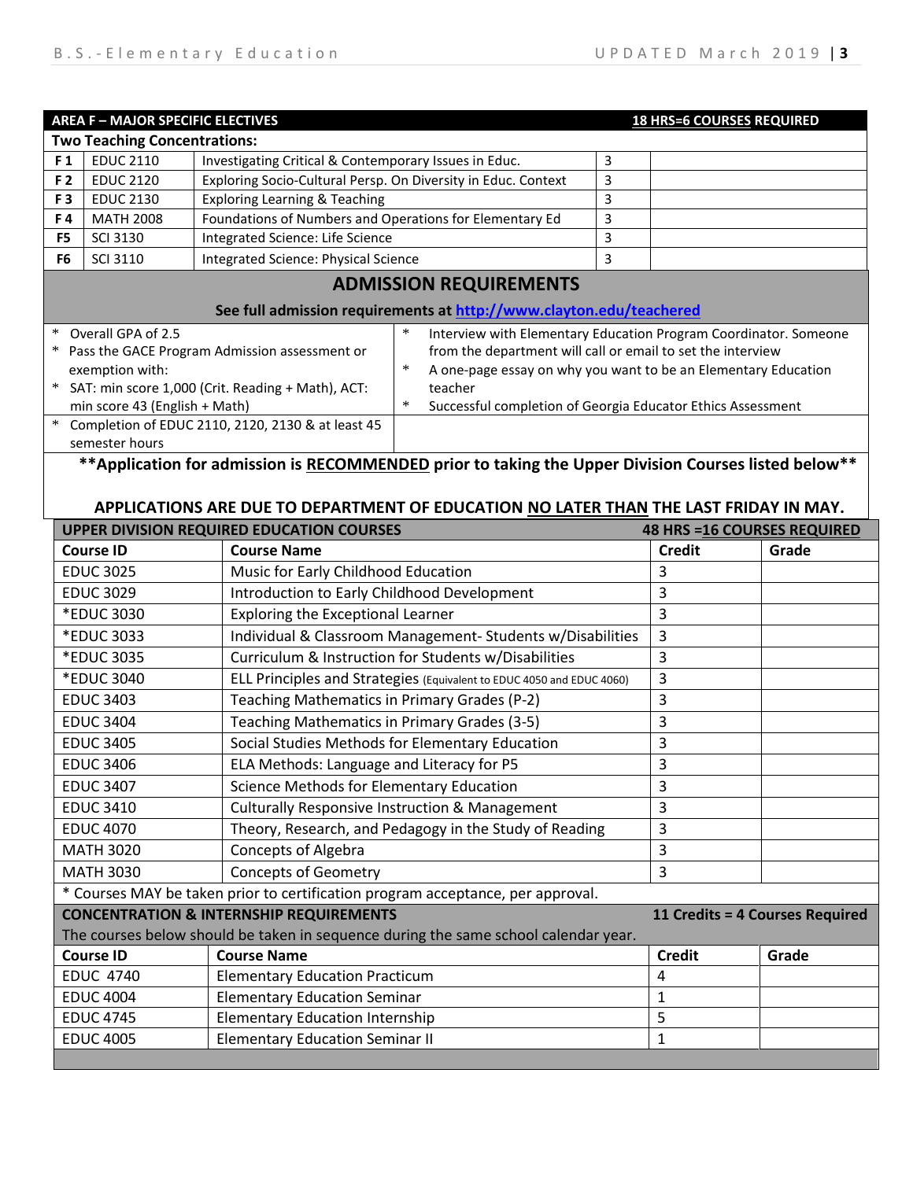| <b>AREA F - MAJOR SPECIFIC ELECTIVES</b>                    |                                                                     |                                                               |        |                                                                  |   | <b>18 HRS=6 COURSES REQUIRED</b> |  |
|-------------------------------------------------------------|---------------------------------------------------------------------|---------------------------------------------------------------|--------|------------------------------------------------------------------|---|----------------------------------|--|
|                                                             | <b>Two Teaching Concentrations:</b>                                 |                                                               |        |                                                                  |   |                                  |  |
| F <sub>1</sub>                                              | <b>EDUC 2110</b>                                                    | Investigating Critical & Contemporary Issues in Educ.         |        |                                                                  | 3 |                                  |  |
| F 2                                                         | <b>EDUC 2120</b>                                                    | Exploring Socio-Cultural Persp. On Diversity in Educ. Context |        |                                                                  | 3 |                                  |  |
| F <sub>3</sub>                                              | <b>EDUC 2130</b>                                                    | <b>Exploring Learning &amp; Teaching</b>                      |        |                                                                  | 3 |                                  |  |
| F4                                                          | <b>MATH 2008</b>                                                    | Foundations of Numbers and Operations for Elementary Ed       |        |                                                                  | 3 |                                  |  |
| F <sub>5</sub>                                              | <b>SCI 3130</b>                                                     | Integrated Science: Life Science                              |        |                                                                  | 3 |                                  |  |
| F6                                                          | <b>SCI 3110</b>                                                     | <b>Integrated Science: Physical Science</b>                   |        |                                                                  | 3 |                                  |  |
|                                                             | <b>ADMISSION REQUIREMENTS</b>                                       |                                                               |        |                                                                  |   |                                  |  |
|                                                             | See full admission requirements at http://www.clayton.edu/teachered |                                                               |        |                                                                  |   |                                  |  |
| $\ast$<br>Overall GPA of 2.5                                |                                                                     |                                                               | ∗      | Interview with Elementary Education Program Coordinator. Someone |   |                                  |  |
| Pass the GACE Program Admission assessment or<br>*          |                                                                     |                                                               |        | from the department will call or email to set the interview      |   |                                  |  |
| exemption with:                                             |                                                                     |                                                               | $\ast$ | A one-page essay on why you want to be an Elementary Education   |   |                                  |  |
| SAT: min score 1,000 (Crit. Reading + Math), ACT:<br>$\ast$ |                                                                     |                                                               |        | teacher                                                          |   |                                  |  |
| min score 43 (English + Math)                               |                                                                     |                                                               | $\ast$ | Successful completion of Georgia Educator Ethics Assessment      |   |                                  |  |
| $\ast$<br>Completion of EDUC 2110, 2120, 2130 & at least 45 |                                                                     |                                                               |        |                                                                  |   |                                  |  |
| semester hours                                              |                                                                     |                                                               |        |                                                                  |   |                                  |  |

## **\*\*Application for admission is RECOMMENDED prior to taking the Upper Division Courses listed below\*\***

## **APPLICATIONS ARE DUE TO DEPARTMENT OF EDUCATION NO LATER THAN THE LAST FRIDAY IN MAY.**

| <b>UPPER DIVISION REQUIRED EDUCATION COURSES</b><br><b>48 HRS = 16 COURSES REQUIRED</b> |                                                                       |               |       |  |  |
|-----------------------------------------------------------------------------------------|-----------------------------------------------------------------------|---------------|-------|--|--|
| <b>Course ID</b>                                                                        | <b>Course Name</b>                                                    | <b>Credit</b> | Grade |  |  |
| <b>EDUC 3025</b>                                                                        | Music for Early Childhood Education                                   | 3             |       |  |  |
| <b>EDUC 3029</b>                                                                        | Introduction to Early Childhood Development                           | 3             |       |  |  |
| *EDUC 3030                                                                              | <b>Exploring the Exceptional Learner</b>                              | 3             |       |  |  |
| *EDUC 3033                                                                              | Individual & Classroom Management- Students w/Disabilities            | 3             |       |  |  |
| *EDUC 3035                                                                              | Curriculum & Instruction for Students w/Disabilities                  | 3             |       |  |  |
| *EDUC 3040                                                                              | ELL Principles and Strategies (Equivalent to EDUC 4050 and EDUC 4060) | 3             |       |  |  |
| <b>EDUC 3403</b>                                                                        | Teaching Mathematics in Primary Grades (P-2)                          | 3             |       |  |  |
| <b>EDUC 3404</b>                                                                        | Teaching Mathematics in Primary Grades (3-5)                          | 3             |       |  |  |
| <b>EDUC 3405</b>                                                                        | Social Studies Methods for Elementary Education                       | 3             |       |  |  |
| <b>EDUC 3406</b>                                                                        | ELA Methods: Language and Literacy for P5                             | 3             |       |  |  |
| <b>EDUC 3407</b>                                                                        | Science Methods for Elementary Education                              | 3             |       |  |  |
| <b>EDUC 3410</b>                                                                        | <b>Culturally Responsive Instruction &amp; Management</b>             | 3             |       |  |  |
| <b>EDUC 4070</b>                                                                        | Theory, Research, and Pedagogy in the Study of Reading                | 3             |       |  |  |
| <b>MATH 3020</b>                                                                        | <b>Concepts of Algebra</b>                                            | 3             |       |  |  |
| <b>MATH 3030</b>                                                                        | <b>Concepts of Geometry</b>                                           | 3             |       |  |  |
| * Courses MAY be taken prior to certification program acceptance, per approval.         |                                                                       |               |       |  |  |
| <b>CONCENTRATION &amp; INTERNSHIP REQUIREMENTS</b><br>11 Credits = 4 Courses Required   |                                                                       |               |       |  |  |
| The courses below should be taken in sequence during the same school calendar year.     |                                                                       |               |       |  |  |
| <b>Course ID</b>                                                                        | <b>Course Name</b>                                                    | <b>Credit</b> | Grade |  |  |
| <b>EDUC 4740</b>                                                                        | <b>Elementary Education Practicum</b><br>4                            |               |       |  |  |
| <b>EDUC 4004</b>                                                                        | <b>Elementary Education Seminar</b><br>1                              |               |       |  |  |
| <b>EDUC 4745</b>                                                                        | 5<br><b>Elementary Education Internship</b>                           |               |       |  |  |
| <b>EDUC 4005</b>                                                                        | 1                                                                     |               |       |  |  |
|                                                                                         |                                                                       |               |       |  |  |